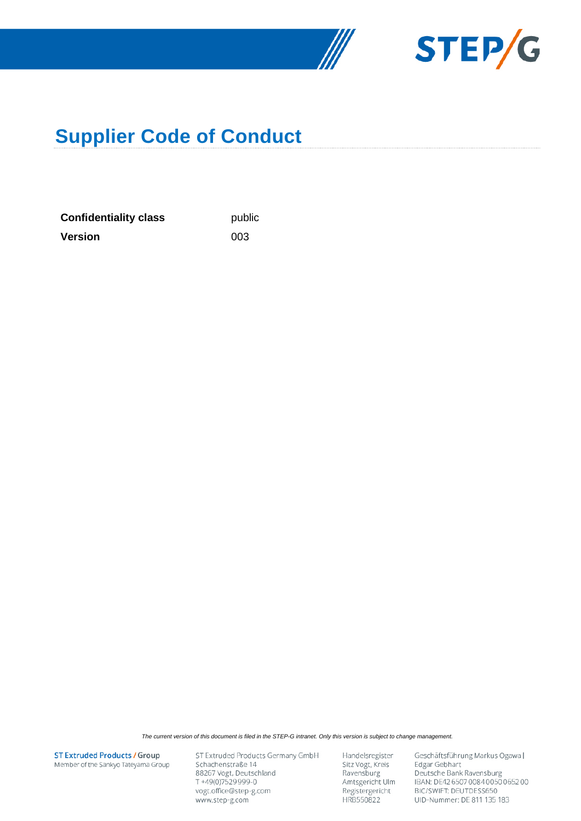



# **Supplier Code of Conduct**

**Confidentiality class** public **Version** 003

*The current version of this document is filed in the STEP-G intranet. Only this version is subject to change management.*

**ST Extruded Products / Group** Member of the Sankyo Tateyama Group ST Extruded Products Germany GmbH Schachenstraße 14 88267 Vogt, Deutschland T+49(0)7529999-0 vogt.office@step-g.com www.step-g.com

Handelsregister Sitz Vogt, Kreis Ravensburg Amtsgericht Ulm Registergericht HRB550822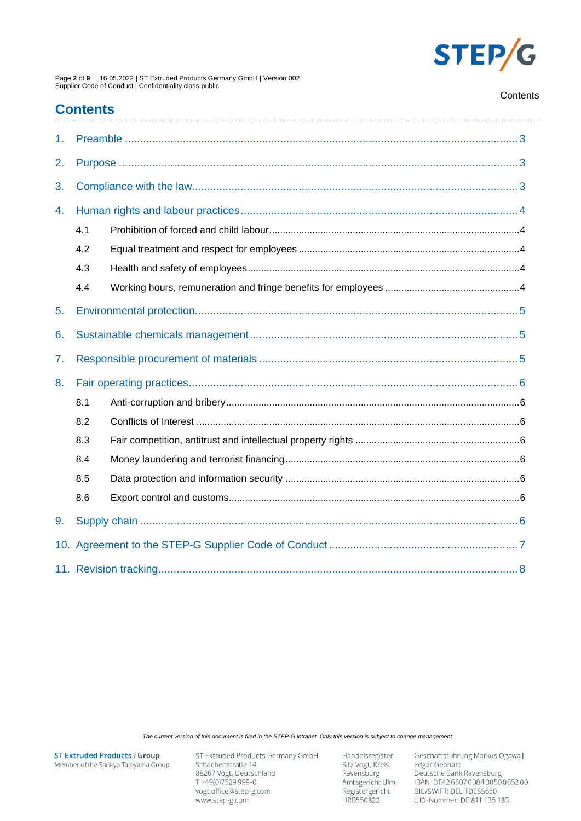

Page 2 of 9 16.05.2022 | ST Extruded Products Germany GmbH | Version 002<br>Supplier Code of Conduct | Confidentiality class public

#### Contents

# **Contents**

| 1.  |     |  |  |  |
|-----|-----|--|--|--|
| 2.  |     |  |  |  |
| 3.  |     |  |  |  |
| 4.  |     |  |  |  |
|     | 4.1 |  |  |  |
|     | 4.2 |  |  |  |
|     | 4.3 |  |  |  |
|     | 4.4 |  |  |  |
| 5.  |     |  |  |  |
| 6.  |     |  |  |  |
| 7.  |     |  |  |  |
| 8.  |     |  |  |  |
|     | 8.1 |  |  |  |
|     | 8.2 |  |  |  |
|     | 8.3 |  |  |  |
|     | 8.4 |  |  |  |
|     | 8.5 |  |  |  |
|     | 8.6 |  |  |  |
| 9.  |     |  |  |  |
| 10. |     |  |  |  |
|     |     |  |  |  |

The current version of this document is filed in the STEP-G intranet. Only this version is subject to change management

**ST Extruded Products / Group** Member of the Sankyo Tateyama Group ST Extruded Products Germany GmbH Schachenstraße 14 88267 Vogt, Deutschland<br>T +49(0)7529 999-0 vogt.office@step-g.com www.step-g.com

Handelsregister Sitz Vogt, Kreis<br>Ravensburg Amtsgericht Ulm Registergericht HRB550822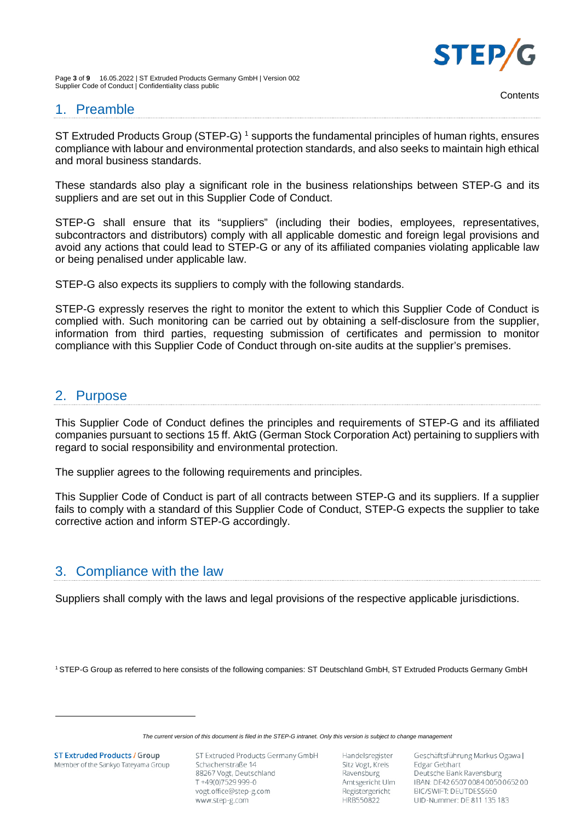

Page **3** of **9** 16.05.2022 | ST Extruded Products Germany GmbH | Version 002 Supplier Code of Conduct | Confidentiality class public

## <span id="page-2-0"></span>1. Preamble

ST Extruded Products Group (STEP-G)<sup>1</sup> supports the fundamental principles of human rights, ensures compliance with labour and environmental protection standards, and also seeks to maintain high ethical and moral business standards.

These standards also play a significant role in the business relationships between STEP-G and its suppliers and are set out in this Supplier Code of Conduct.

STEP-G shall ensure that its "suppliers" (including their bodies, employees, representatives, subcontractors and distributors) comply with all applicable domestic and foreign legal provisions and avoid any actions that could lead to STEP-G or any of its affiliated companies violating applicable law or being penalised under applicable law.

STEP-G also expects its suppliers to comply with the following standards.

STEP-G expressly reserves the right to monitor the extent to which this Supplier Code of Conduct is complied with. Such monitoring can be carried out by obtaining a self-disclosure from the supplier, information from third parties, requesting submission of certificates and permission to monitor compliance with this Supplier Code of Conduct through on-site audits at the supplier's premises.

## <span id="page-2-1"></span>2. Purpose

This Supplier Code of Conduct defines the principles and requirements of STEP-G and its affiliated companies pursuant to sections 15 ff. AktG (German Stock Corporation Act) pertaining to suppliers with regard to social responsibility and environmental protection.

The supplier agrees to the following requirements and principles.

This Supplier Code of Conduct is part of all contracts between STEP-G and its suppliers. If a supplier fails to comply with a standard of this Supplier Code of Conduct, STEP-G expects the supplier to take corrective action and inform STEP-G accordingly.

## <span id="page-2-2"></span>3. Compliance with the law

Suppliers shall comply with the laws and legal provisions of the respective applicable jurisdictions.

1 STEP-G Group as referred to here consists of the following companies: ST Deutschland GmbH, ST Extruded Products Germany GmbH

*The current version of this document is filed in the STEP-G intranet. Only this version is subject to change management*

**ST Extruded Products / Group** Member of the Sankyo Tateyama Group ST Extruded Products Germany GmbH Schachenstraße 14 88267 Vogt, Deutschland T+49(0)7529999-0 vogt.office@step-g.com www.step-g.com

Handelsregister Sitz Vogt, Kreis Ravensburg Amtsgericht Ulm Registergericht HRB550822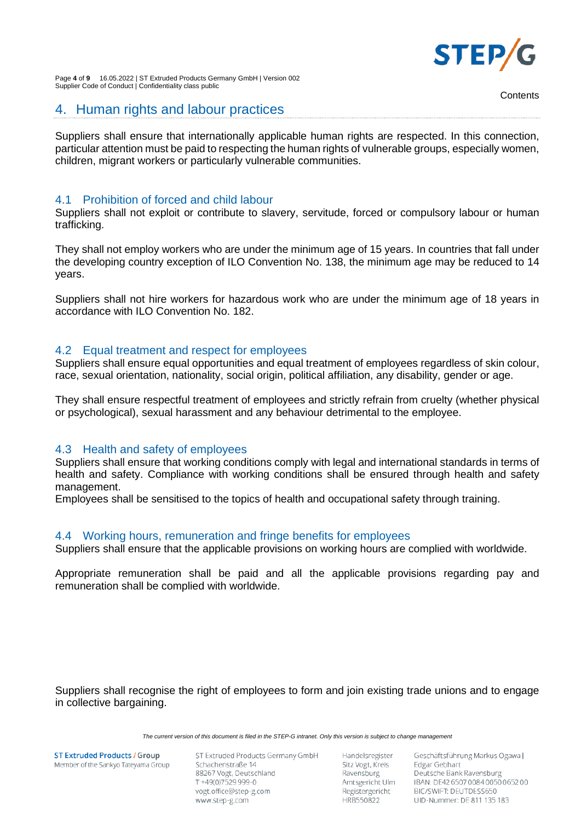

Page **4** of **9** 16.05.2022 | ST Extruded Products Germany GmbH | Version 002 Supplier Code of Conduct | Confidentiality class public

## <span id="page-3-0"></span>4. Human rights and labour practices

Suppliers shall ensure that internationally applicable human rights are respected. In this connection, particular attention must be paid to respecting the human rights of vulnerable groups, especially women, children, migrant workers or particularly vulnerable communities.

## <span id="page-3-1"></span>4.1 Prohibition of forced and child labour

Suppliers shall not exploit or contribute to slavery, servitude, forced or compulsory labour or human trafficking.

They shall not employ workers who are under the minimum age of 15 years. In countries that fall under the developing country exception of ILO Convention No. 138, the minimum age may be reduced to 14 years.

Suppliers shall not hire workers for hazardous work who are under the minimum age of 18 years in accordance with ILO Convention No. 182.

### <span id="page-3-2"></span>4.2 Equal treatment and respect for employees

Suppliers shall ensure equal opportunities and equal treatment of employees regardless of skin colour, race, sexual orientation, nationality, social origin, political affiliation, any disability, gender or age.

They shall ensure respectful treatment of employees and strictly refrain from cruelty (whether physical or psychological), sexual harassment and any behaviour detrimental to the employee.

### <span id="page-3-3"></span>4.3 Health and safety of employees

Suppliers shall ensure that working conditions comply with legal and international standards in terms of health and safety. Compliance with working conditions shall be ensured through health and safety management.

Employees shall be sensitised to the topics of health and occupational safety through training.

#### <span id="page-3-4"></span>4.4 Working hours, remuneration and fringe benefits for employees

Suppliers shall ensure that the applicable provisions on working hours are complied with worldwide.

Appropriate remuneration shall be paid and all the applicable provisions regarding pay and remuneration shall be complied with worldwide.

Suppliers shall recognise the right of employees to form and join existing trade unions and to engage in collective bargaining.

*The current version of this document is filed in the STEP-G intranet. Only this version is subject to change management*

**ST Extruded Products / Group** Member of the Sankyo Tateyama Group ST Extruded Products Germany GmbH Schachenstraße 14 88267 Vogt, Deutschland T+49(0)7529999-0 vogt.office@step-g.com www.step-g.com

Handelsregister Sitz Vogt, Kreis Ravensburg Amtsgericht Ulm Registergericht HRB550822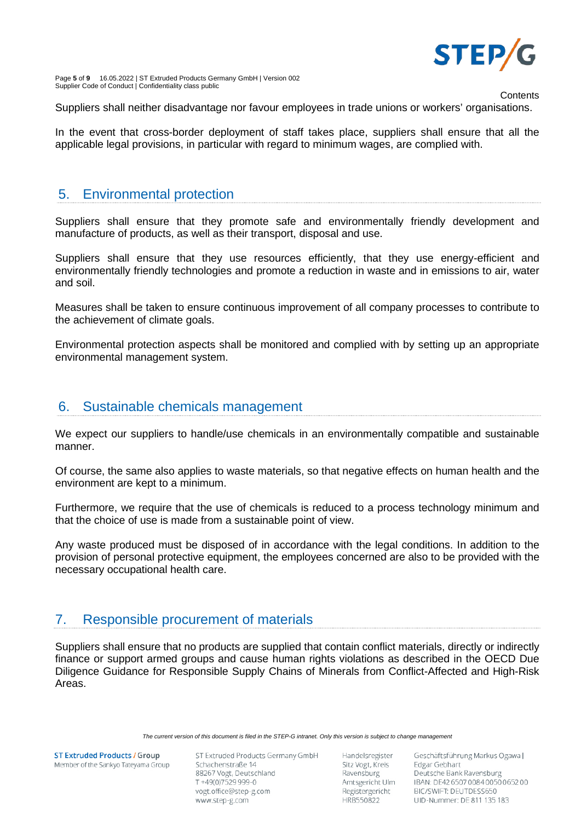

Page **5** of **9** 16.05.2022 | ST Extruded Products Germany GmbH | Version 002 Supplier Code of Conduct | Confidentiality class public

**Contents** 

Suppliers shall neither disadvantage nor favour employees in trade unions or workers' organisations.

In the event that cross-border deployment of staff takes place, suppliers shall ensure that all the applicable legal provisions, in particular with regard to minimum wages, are complied with.

## <span id="page-4-0"></span>5. Environmental protection

Suppliers shall ensure that they promote safe and environmentally friendly development and manufacture of products, as well as their transport, disposal and use.

Suppliers shall ensure that they use resources efficiently, that they use energy-efficient and environmentally friendly technologies and promote a reduction in waste and in emissions to air, water and soil.

Measures shall be taken to ensure continuous improvement of all company processes to contribute to the achievement of climate goals.

Environmental protection aspects shall be monitored and complied with by setting up an appropriate environmental management system.

## <span id="page-4-1"></span>6. Sustainable chemicals management

We expect our suppliers to handle/use chemicals in an environmentally compatible and sustainable manner.

Of course, the same also applies to waste materials, so that negative effects on human health and the environment are kept to a minimum.

Furthermore, we require that the use of chemicals is reduced to a process technology minimum and that the choice of use is made from a sustainable point of view.

Any waste produced must be disposed of in accordance with the legal conditions. In addition to the provision of personal protective equipment, the employees concerned are also to be provided with the necessary occupational health care.

# <span id="page-4-2"></span>7. Responsible procurement of materials

Suppliers shall ensure that no products are supplied that contain conflict materials, directly or indirectly finance or support armed groups and cause human rights violations as described in the OECD Due Diligence Guidance for Responsible Supply Chains of Minerals from Conflict-Affected and High-Risk Areas.

*The current version of this document is filed in the STEP-G intranet. Only this version is subject to change management*

**ST Extruded Products / Group** Member of the Sankyo Tateyama Group ST Extruded Products Germany GmbH Schachenstraße 14 88267 Vogt, Deutschland T+49(0)7529999-0 vogt.office@step-g.com www.step-g.com

Handelsregister Sitz Vogt, Kreis Ravensburg Amtsgericht Ulm Registergericht HRB550822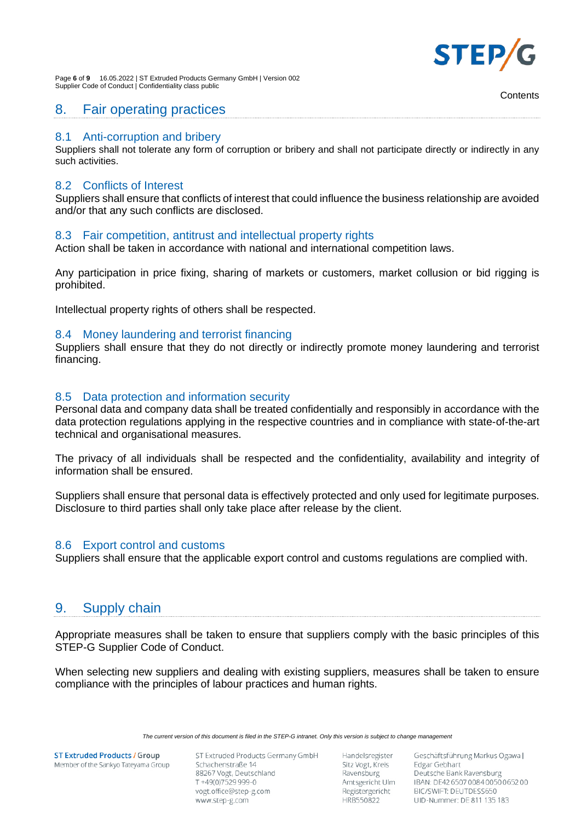

Page **6** of **9** 16.05.2022 | ST Extruded Products Germany GmbH | Version 002 Supplier Code of Conduct | Confidentiality class public

## <span id="page-5-0"></span>8. Fair operating practices

### <span id="page-5-1"></span>8.1 Anti-corruption and bribery

Suppliers shall not tolerate any form of corruption or bribery and shall not participate directly or indirectly in any such activities.

### <span id="page-5-2"></span>8.2 Conflicts of Interest

Suppliers shall ensure that conflicts of interest that could influence the business relationship are avoided and/or that any such conflicts are disclosed.

### <span id="page-5-3"></span>8.3 Fair competition, antitrust and intellectual property rights

Action shall be taken in accordance with national and international competition laws.

Any participation in price fixing, sharing of markets or customers, market collusion or bid rigging is prohibited.

<span id="page-5-4"></span>Intellectual property rights of others shall be respected.

### 8.4 Money laundering and terrorist financing

Suppliers shall ensure that they do not directly or indirectly promote money laundering and terrorist financing.

## <span id="page-5-5"></span>8.5 Data protection and information security

Personal data and company data shall be treated confidentially and responsibly in accordance with the data protection regulations applying in the respective countries and in compliance with state-of-the-art technical and organisational measures.

The privacy of all individuals shall be respected and the confidentiality, availability and integrity of information shall be ensured.

Suppliers shall ensure that personal data is effectively protected and only used for legitimate purposes. Disclosure to third parties shall only take place after release by the client.

### <span id="page-5-6"></span>8.6 Export control and customs

<span id="page-5-7"></span>Suppliers shall ensure that the applicable export control and customs regulations are complied with.

## 9. Supply chain

Appropriate measures shall be taken to ensure that suppliers comply with the basic principles of this STEP-G Supplier Code of Conduct.

When selecting new suppliers and dealing with existing suppliers, measures shall be taken to ensure compliance with the principles of labour practices and human rights.

*The current version of this document is filed in the STEP-G intranet. Only this version is subject to change management*

**ST Extruded Products / Group** Member of the Sankyo Tateyama Group ST Extruded Products Germany GmbH Schachenstraße 14 88267 Vogt, Deutschland T+49(0)7529999-0 vogt.office@step-g.com www.step-g.com

Handelsregister Sitz Vogt, Kreis Ravensburg Amtsgericht Ulm Registergericht HRB550822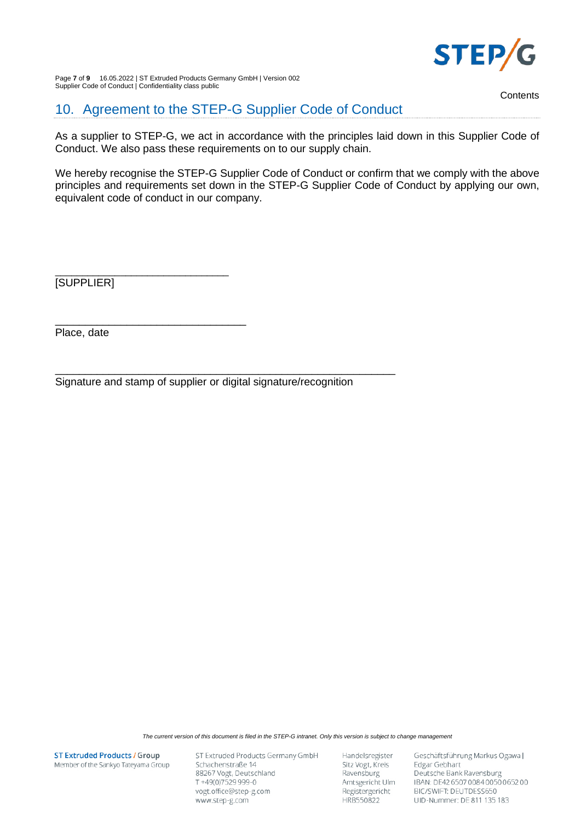

Page **7** of **9** 16.05.2022 | ST Extruded Products Germany GmbH | Version 002 Supplier Code of Conduct | Confidentiality class public

**Contents** 

<span id="page-6-0"></span>10. Agreement to the STEP-G Supplier Code of Conduct

As a supplier to STEP-G, we act in accordance with the principles laid down in this Supplier Code of Conduct. We also pass these requirements on to our supply chain.

We hereby recognise the STEP-G Supplier Code of Conduct or confirm that we comply with the above principles and requirements set down in the STEP-G Supplier Code of Conduct by applying our own, equivalent code of conduct in our company.

\_\_\_\_\_\_\_\_\_\_\_\_\_\_\_\_\_\_\_\_\_\_\_\_\_\_\_\_\_\_\_\_ [SUPPLIER]

Place, date

\_\_\_\_\_\_\_\_\_\_\_\_\_\_\_\_\_\_\_\_\_\_\_\_\_\_\_\_\_\_\_\_\_\_\_\_\_\_\_\_\_\_\_\_\_\_\_\_\_\_\_\_\_\_\_\_\_ Signature and stamp of supplier or digital signature/recognition

\_\_\_\_\_\_\_\_\_\_\_\_\_\_\_\_\_\_\_\_\_\_\_\_\_\_\_\_\_\_\_\_

*The current version of this document is filed in the STEP-G intranet. Only this version is subject to change management*

**ST Extruded Products / Group** Member of the Sankyo Tateyama Group ST Extruded Products Germany GmbH Schachenstraße 14 88267 Vogt, Deutschland T+49(0)7529999-0 vogt.office@step-g.com www.step-g.com

Handelsregister Sitz Vogt, Kreis Ravensburg Amtsgericht Ulm Registergericht HRB550822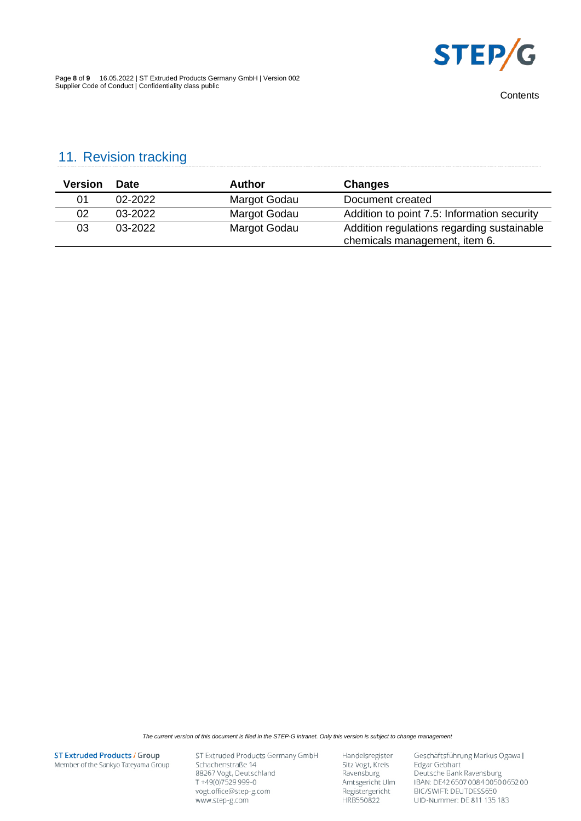

Page **8** of **9** 16.05.2022 | ST Extruded Products Germany GmbH | Version 002 Supplier Code of Conduct | Confidentiality class public

# <span id="page-7-0"></span>11. Revision tracking

| <b>Version</b> | <b>Date</b> | Author       | Changes                                                                     |
|----------------|-------------|--------------|-----------------------------------------------------------------------------|
| 01             | 02-2022     | Margot Godau | Document created                                                            |
| 02             | 03-2022     | Margot Godau | Addition to point 7.5: Information security                                 |
| 03             | $03 - 2022$ | Margot Godau | Addition regulations regarding sustainable<br>chemicals management, item 6. |

*The current version of this document is filed in the STEP-G intranet. Only this version is subject to change management*

**ST Extruded Products / Group** Member of the Sankyo Tateyama Group ST Extruded Products Germany GmbH Schachenstraße 14 88267 Vogt, Deutschland T+49(0)7529999-0 vogt.office@step-g.com www.step-g.com

Handelsregister Sitz Vogt, Kreis<br>Ravensburg Amtsgericht Ulm Registergericht HRB550822